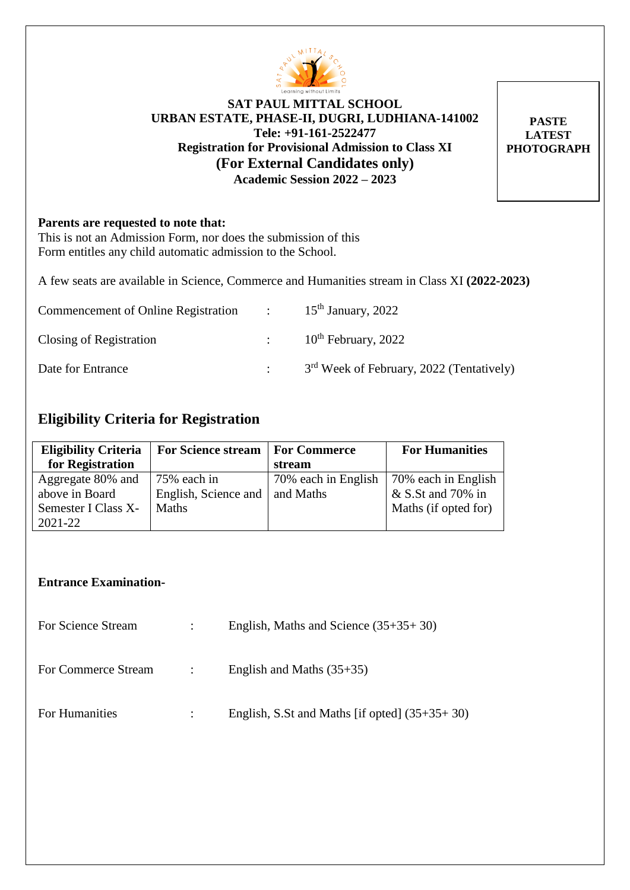

## **SAT PAUL MITTAL SCHOOL URBAN ESTATE, PHASE-II, DUGRI, LUDHIANA-141002 Tele: +91-161-2522477 Registration for Provisional Admission to Class XI (For External Candidates only) Academic Session 2022 – 2023**

**PASTE LATEST PHOTOGRAPH**

#### **Parents are requested to note that:**

This is not an Admission Form, nor does the submission of this Form entitles any child automatic admission to the School.

A few seats are available in Science, Commerce and Humanities stream in Class XI **(2022-2023)**

| Commencement of Online Registration | $\sim$ 100 $\sim$ | $15th$ January, 2022                                 |
|-------------------------------------|-------------------|------------------------------------------------------|
| Closing of Registration             |                   | $10^{th}$ February, 2022                             |
| Date for Entrance                   |                   | 3 <sup>rd</sup> Week of February, 2022 (Tentatively) |

# **Eligibility Criteria for Registration**

| <b>Eligibility Criteria</b> | <b>For Science stream</b> | <b>For Commerce</b> | <b>For Humanities</b> |
|-----------------------------|---------------------------|---------------------|-----------------------|
| for Registration            |                           | stream              |                       |
| Aggregate 80% and           | $175%$ each in            | 70% each in English | 70% each in English   |
| above in Board              | English, Science and      | and Maths           | $&$ S.St and 70% in   |
| Semester I Class X-         | <b>Maths</b>              |                     | Maths (if opted for)  |
| $2021 - 22$                 |                           |                     |                       |

#### **Entrance Examination-**

| For Science Stream  | $\mathbb{R}^n$ | English, Maths and Science $(35+35+30)$         |
|---------------------|----------------|-------------------------------------------------|
| For Commerce Stream | $\mathbb{R}^n$ | English and Maths $(35+35)$                     |
| For Humanities      |                | English, S.St and Maths [if opted] $(35+35+30)$ |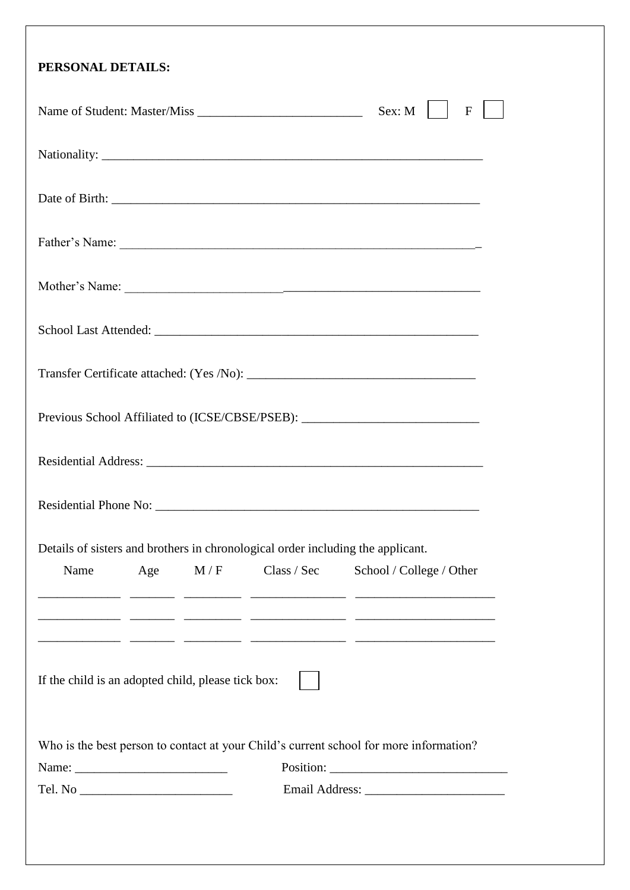| Sex: M<br>$\mathbf{F}$                                                                                                                           |
|--------------------------------------------------------------------------------------------------------------------------------------------------|
|                                                                                                                                                  |
|                                                                                                                                                  |
|                                                                                                                                                  |
|                                                                                                                                                  |
|                                                                                                                                                  |
|                                                                                                                                                  |
|                                                                                                                                                  |
| Previous School Affiliated to (ICSE/CBSE/PSEB): ________________________________                                                                 |
|                                                                                                                                                  |
|                                                                                                                                                  |
| Details of sisters and brothers in chronological order including the applicant.<br>Name<br>M/F<br>Class / Sec<br>School / College / Other<br>Age |
| If the child is an adopted child, please tick box:                                                                                               |
| Who is the best person to contact at your Child's current school for more information?                                                           |
|                                                                                                                                                  |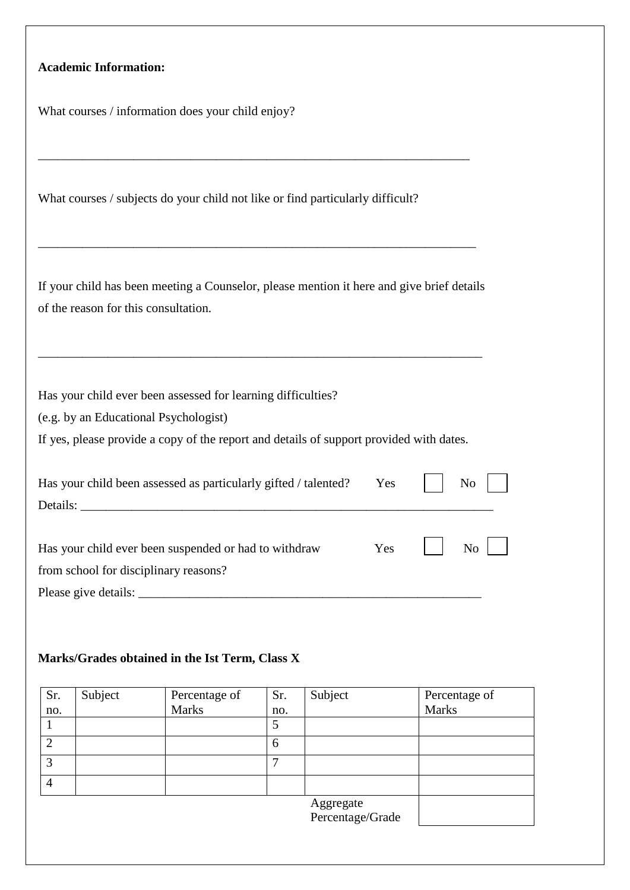### **Academic Information:**

What courses / information does your child enjoy?

What courses / subjects do your child not like or find particularly difficult?

\_\_\_\_\_\_\_\_\_\_\_\_\_\_\_\_\_\_\_\_\_\_\_\_\_\_\_\_\_\_\_\_\_\_\_\_\_\_\_\_\_\_\_\_\_\_\_\_\_\_\_\_\_\_\_\_\_\_\_\_\_\_\_\_\_\_\_\_

If your child has been meeting a Counselor, please mention it here and give brief details of the reason for this consultation.

\_\_\_\_\_\_\_\_\_\_\_\_\_\_\_\_\_\_\_\_\_\_\_\_\_\_\_\_\_\_\_\_\_\_\_\_\_\_\_\_\_\_\_\_\_\_\_\_\_\_\_\_\_\_\_\_\_\_\_\_\_\_\_\_\_\_\_\_\_\_

\_\_\_\_\_\_\_\_\_\_\_\_\_\_\_\_\_\_\_\_\_\_\_\_\_\_\_\_\_\_\_\_\_\_\_\_\_\_\_\_\_\_\_\_\_\_\_\_\_\_\_\_\_\_\_\_\_\_\_\_\_\_\_\_\_\_\_\_\_

Has your child ever been assessed for learning difficulties?

(e.g. by an Educational Psychologist)

If yes, please provide a copy of the report and details of support provided with dates.

| Has your child been assessed as particularly gifted / talented? Yes     No |  |                    |
|----------------------------------------------------------------------------|--|--------------------|
|                                                                            |  |                    |
| Has your child ever been suspended or had to withdraw                      |  | $Yes$ $ $ $No$ $ $ |
| from school for disciplinary reasons?                                      |  |                    |
| Please give details:                                                       |  |                    |

# **Marks/Grades obtained in the Ist Term, Class X**

| Sr.            | Subject | Percentage of | Sr. | Subject                       | Percentage of |
|----------------|---------|---------------|-----|-------------------------------|---------------|
| no.            |         | <b>Marks</b>  | no. |                               | <b>Marks</b>  |
|                |         |               | 5   |                               |               |
| $\overline{2}$ |         |               | 6   |                               |               |
| 3              |         |               | −   |                               |               |
| $\overline{4}$ |         |               |     |                               |               |
|                |         |               |     | Aggregate<br>Percentage/Grade |               |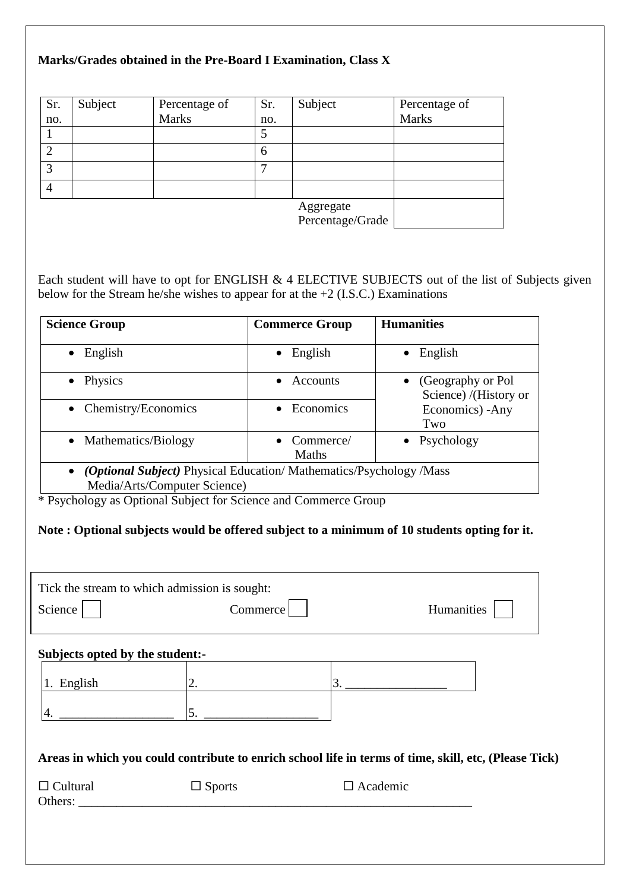#### **Marks/Grades obtained in the Pre-Board I Examination, Class X**

| Sr.            | Subject | Percentage of | Sr. | Subject                       | Percentage of |
|----------------|---------|---------------|-----|-------------------------------|---------------|
| no.            |         | <b>Marks</b>  | no. |                               | <b>Marks</b>  |
|                |         |               | 5   |                               |               |
| 2              |         |               | 6   |                               |               |
| 3              |         |               |     |                               |               |
| $\overline{4}$ |         |               |     |                               |               |
|                |         |               |     | Aggregate<br>Percentage/Grade |               |

Each student will have to opt for ENGLISH & 4 ELECTIVE SUBJECTS out of the list of Subjects given below for the Stream he/she wishes to appear for at the +2 (I.S.C.) Examinations

| <b>Science Group</b>                                                     | <b>Commerce Group</b>     | <b>Humanities</b>                          |  |  |
|--------------------------------------------------------------------------|---------------------------|--------------------------------------------|--|--|
| English                                                                  | English<br>$\bullet$      | English<br>$\bullet$                       |  |  |
| Physics                                                                  | Accounts                  | (Geography or Pol<br>Science) /(History or |  |  |
| • Chemistry/Economics                                                    | Economics                 | Economics) - Any<br>Two                    |  |  |
| • Mathematics/Biology                                                    | Commerce/<br><b>Maths</b> | • Psychology                               |  |  |
| <i>(Optional Subject)</i> Physical Education/Mathematics/Psychology/Mass |                           |                                            |  |  |
| Media/Arts/Computer Science)                                             |                           |                                            |  |  |

\* Psychology as Optional Subject for Science and Commerce Group

#### **Note : Optional subjects would be offered subject to a minimum of 10 students opting for it.**

| Tick the stream to which admission is sought: |               |                                                                                                       |
|-----------------------------------------------|---------------|-------------------------------------------------------------------------------------------------------|
| Science                                       | Commerce      | Humanities                                                                                            |
| Subjects opted by the student:-               |               |                                                                                                       |
| 1. English                                    | 2.            | 3.                                                                                                    |
|                                               | 5.            |                                                                                                       |
|                                               |               |                                                                                                       |
|                                               |               | Areas in which you could contribute to enrich school life in terms of time, skill, etc, (Please Tick) |
| $\Box$ Cultural<br>Others:                    | $\Box$ Sports | $\Box$ Academic                                                                                       |
|                                               |               |                                                                                                       |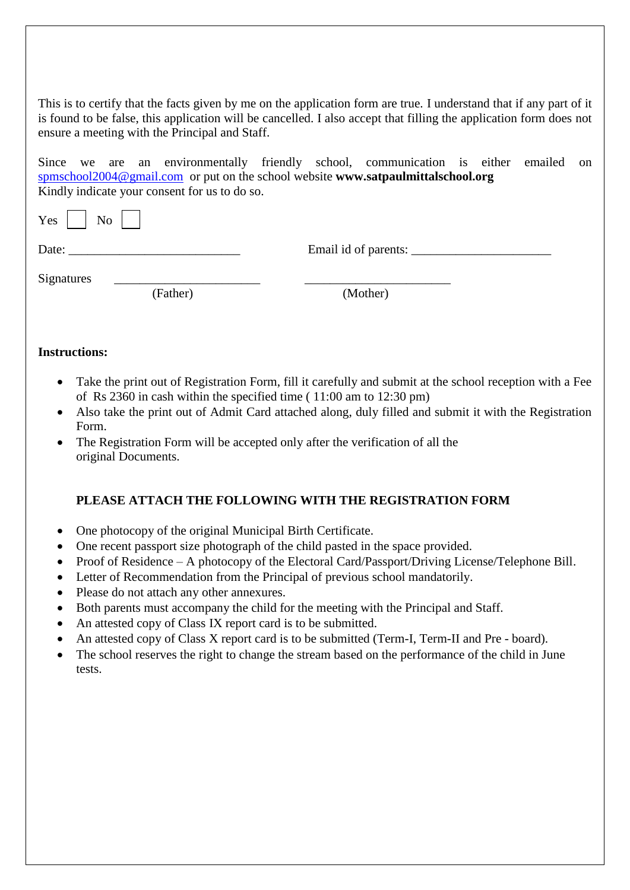This is to certify that the facts given by me on the application form are true. I understand that if any part of it is found to be false, this application will be cancelled. I also accept that filling the application form does not ensure a meeting with the Principal and Staff.

Since we are an environmentally friendly school, communication is either emailed on [spmschool2004@gmail.com](mailto:spmschool2004@gmail.com) or put on the school website **www.satpaulmittalschool.org** Kindly indicate your consent for us to do so.

| Yes<br>N <sub>0</sub>  |                             |
|------------------------|-----------------------------|
| Date:                  | Email id of parents: ______ |
| Signatures<br>(Father) | (Mother)                    |

#### **Instructions:**

- Take the print out of Registration Form, fill it carefully and submit at the school reception with a Fee of Rs 2360 in cash within the specified time ( 11:00 am to 12:30 pm)
- Also take the print out of Admit Card attached along, duly filled and submit it with the Registration Form.
- The Registration Form will be accepted only after the verification of all the original Documents.

#### **PLEASE ATTACH THE FOLLOWING WITH THE REGISTRATION FORM**

- One photocopy of the original Municipal Birth Certificate.
- One recent passport size photograph of the child pasted in the space provided.
- Proof of Residence A photocopy of the Electoral Card/Passport/Driving License/Telephone Bill.
- Letter of Recommendation from the Principal of previous school mandatorily.
- Please do not attach any other annexures.
- Both parents must accompany the child for the meeting with the Principal and Staff.
- An attested copy of Class IX report card is to be submitted.
- An attested copy of Class X report card is to be submitted (Term-I, Term-II and Pre board).
- The school reserves the right to change the stream based on the performance of the child in June tests.